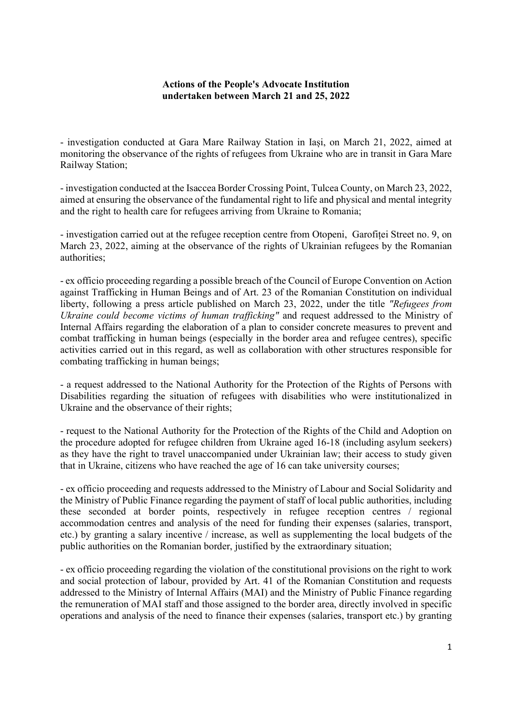## Actions of the People's Advocate Institution undertaken between March 21 and 25, 2022

- investigation conducted at Gara Mare Railway Station in Iași, on March 21, 2022, aimed at monitoring the observance of the rights of refugees from Ukraine who are in transit in Gara Mare Railway Station;

- investigation conducted at the Isaccea Border Crossing Point, Tulcea County, on March 23, 2022, aimed at ensuring the observance of the fundamental right to life and physical and mental integrity and the right to health care for refugees arriving from Ukraine to Romania;

- investigation carried out at the refugee reception centre from Otopeni, Garofiței Street no. 9, on March 23, 2022, aiming at the observance of the rights of Ukrainian refugees by the Romanian authorities;

- ex officio proceeding regarding a possible breach of the Council of Europe Convention on Action against Trafficking in Human Beings and of Art. 23 of the Romanian Constitution on individual liberty, following a press article published on March 23, 2022, under the title "Refugees from Ukraine could become victims of human trafficking" and request addressed to the Ministry of Internal Affairs regarding the elaboration of a plan to consider concrete measures to prevent and combat trafficking in human beings (especially in the border area and refugee centres), specific activities carried out in this regard, as well as collaboration with other structures responsible for combating trafficking in human beings;

- a request addressed to the National Authority for the Protection of the Rights of Persons with Disabilities regarding the situation of refugees with disabilities who were institutionalized in Ukraine and the observance of their rights;

- request to the National Authority for the Protection of the Rights of the Child and Adoption on the procedure adopted for refugee children from Ukraine aged 16-18 (including asylum seekers) as they have the right to travel unaccompanied under Ukrainian law; their access to study given that in Ukraine, citizens who have reached the age of 16 can take university courses;

- ex officio proceeding and requests addressed to the Ministry of Labour and Social Solidarity and the Ministry of Public Finance regarding the payment of staff of local public authorities, including these seconded at border points, respectively in refugee reception centres / regional accommodation centres and analysis of the need for funding their expenses (salaries, transport, etc.) by granting a salary incentive / increase, as well as supplementing the local budgets of the public authorities on the Romanian border, justified by the extraordinary situation;

- ex officio proceeding regarding the violation of the constitutional provisions on the right to work and social protection of labour, provided by Art. 41 of the Romanian Constitution and requests addressed to the Ministry of Internal Affairs (MAI) and the Ministry of Public Finance regarding the remuneration of MAI staff and those assigned to the border area, directly involved in specific operations and analysis of the need to finance their expenses (salaries, transport etc.) by granting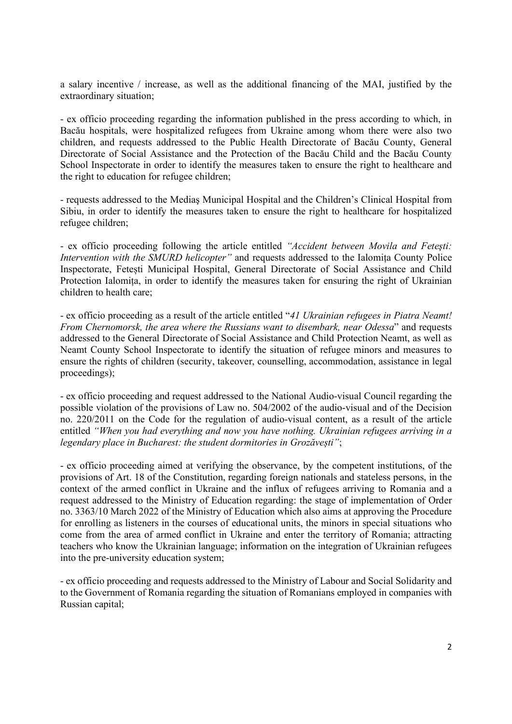a salary incentive / increase, as well as the additional financing of the MAI, justified by the extraordinary situation;

- ex officio proceeding regarding the information published in the press according to which, in Bacău hospitals, were hospitalized refugees from Ukraine among whom there were also two children, and requests addressed to the Public Health Directorate of Bacău County, General Directorate of Social Assistance and the Protection of the Bacău Child and the Bacău County School Inspectorate in order to identify the measures taken to ensure the right to healthcare and the right to education for refugee children;

- requests addressed to the Mediaş Municipal Hospital and the Children's Clinical Hospital from Sibiu, in order to identify the measures taken to ensure the right to healthcare for hospitalized refugee children;

- ex officio proceeding following the article entitled "Accident between Movila and Feteşti: Intervention with the SMURD helicopter" and requests addressed to the Ialomița County Police Inspectorate, Fetești Municipal Hospital, General Directorate of Social Assistance and Child Protection Ialomița, in order to identify the measures taken for ensuring the right of Ukrainian children to health care;

- ex officio proceeding as a result of the article entitled "41 Ukrainian refugees in Piatra Neamt! From Chernomorsk, the area where the Russians want to disembark, near Odessa" and requests addressed to the General Directorate of Social Assistance and Child Protection Neamt, as well as Neamt County School Inspectorate to identify the situation of refugee minors and measures to ensure the rights of children (security, takeover, counselling, accommodation, assistance in legal proceedings);

- ex officio proceeding and request addressed to the National Audio-visual Council regarding the possible violation of the provisions of Law no. 504/2002 of the audio-visual and of the Decision no. 220/2011 on the Code for the regulation of audio-visual content, as a result of the article entitled "When you had everything and now you have nothing. Ukrainian refugees arriving in a legendary place in Bucharest: the student dormitories in Grozăvești";

- ex officio proceeding aimed at verifying the observance, by the competent institutions, of the provisions of Art. 18 of the Constitution, regarding foreign nationals and stateless persons, in the context of the armed conflict in Ukraine and the influx of refugees arriving to Romania and a request addressed to the Ministry of Education regarding: the stage of implementation of Order no. 3363/10 March 2022 of the Ministry of Education which also aims at approving the Procedure for enrolling as listeners in the courses of educational units, the minors in special situations who come from the area of armed conflict in Ukraine and enter the territory of Romania; attracting teachers who know the Ukrainian language; information on the integration of Ukrainian refugees into the pre-university education system;

- ex officio proceeding and requests addressed to the Ministry of Labour and Social Solidarity and to the Government of Romania regarding the situation of Romanians employed in companies with Russian capital;